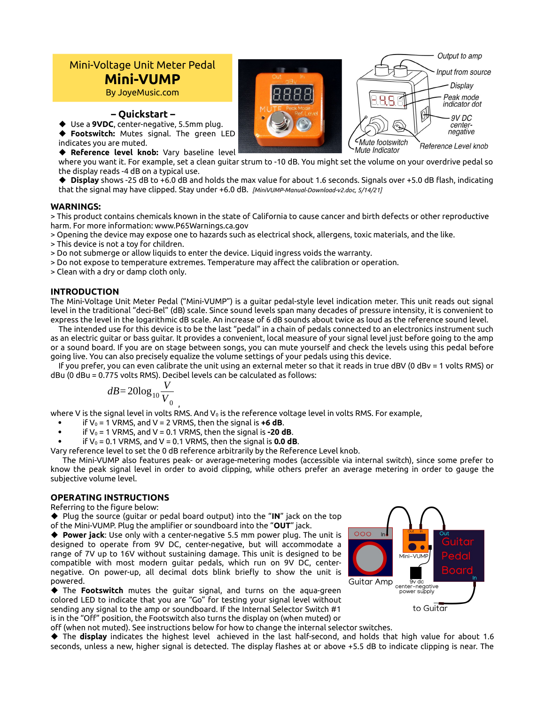# Mini-Voltage Unit Meter Pedal **Mini-VUMP**

By JoyeMusic.com

**– Quickstart –**

 Use a **9VDC**, center-negative, 5.5mm plug. **Footswitch:** Mutes signal. The green LED indicates you are muted.

**Reference level knob:** Vary baseline level

where you want it. For example, set a clean guitar strum to -10 dB. You might set the volume on your overdrive pedal so the display reads -4 dB on a typical use.

 **Display** shows -25 dB to +6.0 dB and holds the max value for about 1.6 seconds. Signals over +5.0 dB flash, indicating that the signal may have clipped. Stay under +6.0 dB. *[MiniVUMP-Manual-Download-v2.doc, 5/14/21]*

### **WARNINGS:**

> This product contains chemicals known in the state of California to cause cancer and birth defects or other reproductive harm. For more information: www.P65Warnings.ca.gov

> Opening the device may expose one to hazards such as electrical shock, allergens, toxic materials, and the like.

> This device is not a toy for children.

> Do not submerge or allow liquids to enter the device. Liquid ingress voids the warranty.

> Do not expose to temperature extremes. Temperature may affect the calibration or operation.

> Clean with a dry or damp cloth only.

### **INTRODUCTION**

The Mini-Voltage Unit Meter Pedal ("Mini-VUMP") is a guitar pedal-style level indication meter. This unit reads out signal level in the traditional "deci-Bel" (dB) scale. Since sound levels span many decades of pressure intensity, it is convenient to express the level in the logarithmic dB scale. An increase of 6 dB sounds about twice as loud as the reference sound level.

The intended use for this device is to be the last "pedal" in a chain of pedals connected to an electronics instrument such as an electric guitar or bass guitar. It provides a convenient, local measure of your signal level just before going to the amp or a sound board. If you are on stage between songs, you can mute yourself and check the levels using this pedal before going live. You can also precisely equalize the volume settings of your pedals using this device.

If you prefer, you can even calibrate the unit using an external meter so that it reads in true dBV (0 dBv = 1 volts RMS) or dBu (0 dBu = 0.775 volts RMS). Decibel levels can be calculated as follows:

$$
dB = 20\log_{10}\frac{V}{V_0}
$$

where V is the signal level in volts RMS. And  $V_0$  is the reference voltage level in volts RMS. For example,

- if  $V_0 = 1$  VRMS, and V = 2 VRMS, then the signal is  $\pm 6$  dB.
- if  $V_0$  = 1 VRMS, and V = 0.1 VRMS, then the signal is **-20 dB**.
- if  $V_0$  = 0.1 VRMS, and V = 0.1 VRMS, then the signal is **0.0 dB**.

Vary reference level to set the 0 dB reference arbitrarily by the Reference Level knob.

The Mini-VUMP also features peak- or average-metering modes (accessible via internal switch), since some prefer to know the peak signal level in order to avoid clipping, while others prefer an average metering in order to gauge the subjective volume level.

## **OPERATING INSTRUCTIONS**

Referring to the figure below:

◆ Plug the source (guitar or pedal board output) into the "**IN**" jack on the top of the Mini-VUMP. Plug the amplifier or soundboard into the "**OUT**" jack.

 **Power jack**: Use only with a center-negative 5.5 mm power plug. The unit is designed to operate from 9V DC, center-negative, but will accommodate a range of 7V up to 16V without sustaining damage. This unit is designed to be compatible with most modern guitar pedals, which run on 9V DC, centernegative. On power-up, all decimal dots blink briefly to show the unit is powered.

 The **Footswitch** mutes the guitar signal, and turns on the aqua-green colored LED to indicate that you are "Go" for testing your signal level without sending any signal to the amp or soundboard. If the Internal Selector Switch #1 is in the "Off" position, the Footswitch also turns the display on (when muted) or



off (when not muted). See instructions below for how to change the internal selector switches.

 The **display** indicates the highest level achieved in the last half-second, and holds that high value for about 1.6 seconds, unless a new, higher signal is detected. The display flashes at or above +5.5 dB to indicate clipping is near. The